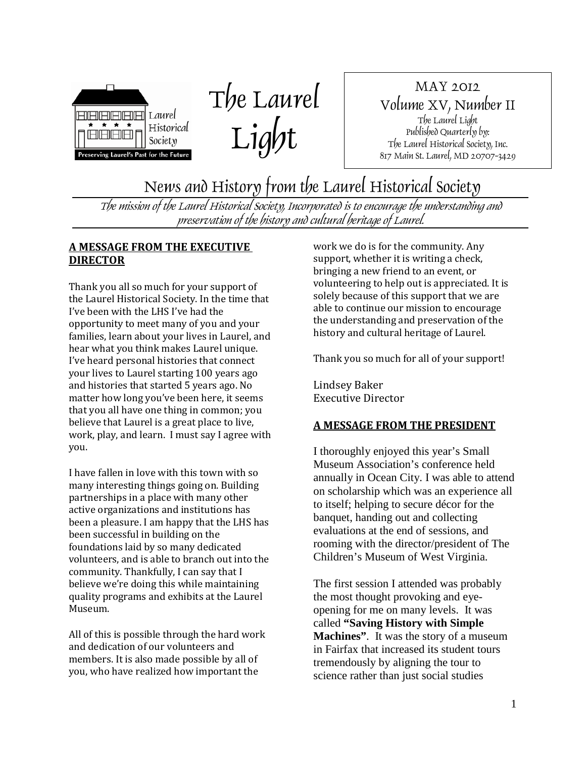



MAY 2012 Volume XV, Number II The Laurel Light Published Quarterly by: The Laurel Historical Society, Inc. 817 Main St. Laurel, MD 20707-3429

News and History from the Laurel Historical Society

The mission of the Laurel Historical Society, Incorporated is to encourage the understanding and preservation of the history and cultural heritage of Laurel.

## **A MESSAGE FROM THE EXECUTIVE DIRECTOR**

Thank you all so much for your support of the Laurel Historical Society. In the time that I've been with the LHS I've had the opportunity to meet many of you and your families, learn about your lives in Laurel, and hear what you think makes Laurel unique. I've heard personal histories that connect your lives to Laurel starting 100 years ago and histories that started 5 years ago. No matter how long you've been here, it seems that you all have one thing in common; you believe that Laurel is a great place to live, work, play, and learn. I must say I agree with you.

I have fallen in love with this town with so many interesting things going on. Building partnerships in a place with many other active organizations and institutions has been a pleasure. I am happy that the LHS has been successful in building on the foundations laid by so many dedicated volunteers, and is able to branch out into the community. Thankfully, I can say that I believe we're doing this while maintaining quality programs and exhibits at the Laurel Museum.

All of this is possible through the hard work and dedication of our volunteers and members. It is also made possible by all of you, who have realized how important the

work we do is for the community. Any support, whether it is writing a check, bringing a new friend to an event, or volunteering to help out is appreciated. It is solely because of this support that we are able to continue our mission to encourage the understanding and preservation of the history and cultural heritage of Laurel.

Thank you so much for all of your support!

Lindsey Baker Executive Director

## **A MESSAGE FROM THE PRESIDENT**

I thoroughly enjoyed this year's Small Museum Association's conference held annually in Ocean City. I was able to attend on scholarship which was an experience all to itself; helping to secure décor for the banquet, handing out and collecting evaluations at the end of sessions, and rooming with the director/president of The Children's Museum of West Virginia.

The first session I attended was probably the most thought provoking and eyeopening for me on many levels. It was called **"Saving History with Simple Machines"**. It was the story of a museum in Fairfax that increased its student tours tremendously by aligning the tour to science rather than just social studies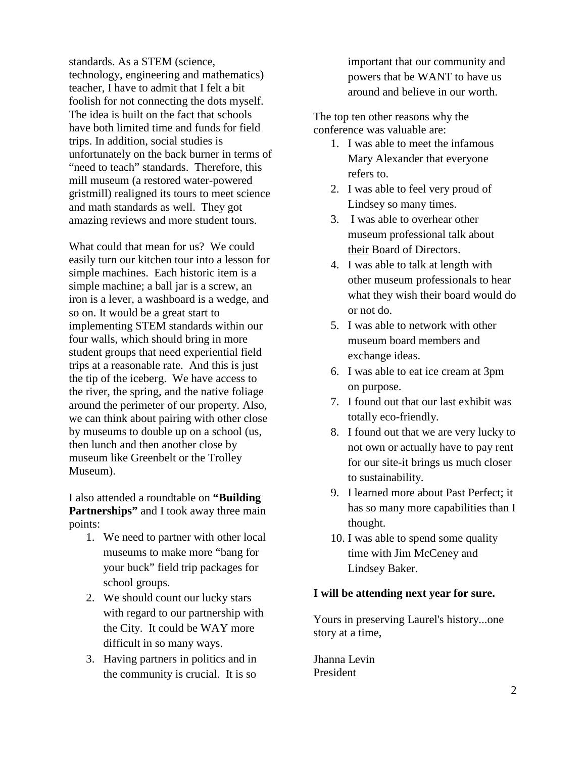standards. As a STEM (science, technology, engineering and mathematics) teacher, I have to admit that I felt a bit foolish for not connecting the dots myself. The idea is built on the fact that schools have both limited time and funds for field trips. In addition, social studies is unfortunately on the back burner in terms of "need to teach" standards. Therefore, this mill museum (a restored water-powered gristmill) realigned its tours to meet science and math standards as well. They got amazing reviews and more student tours.

What could that mean for us? We could easily turn our kitchen tour into a lesson for simple machines. Each historic item is a simple machine; a ball jar is a screw, an iron is a lever, a washboard is a wedge, and so on. It would be a great start to implementing STEM standards within our four walls, which should bring in more student groups that need experiential field trips at a reasonable rate. And this is just the tip of the iceberg. We have access to the river, the spring, and the native foliage around the perimeter of our property. Also, we can think about pairing with other close by museums to double up on a school (us, then lunch and then another close by museum like Greenbelt or the Trolley Museum).

I also attended a roundtable on **"Building Partnerships"** and I took away three main points:

- 1. We need to partner with other local museums to make more "bang for your buck" field trip packages for school groups.
- 2. We should count our lucky stars with regard to our partnership with the City. It could be WAY more difficult in so many ways.
- 3. Having partners in politics and in the community is crucial. It is so

important that our community and powers that be WANT to have us around and believe in our worth.

The top ten other reasons why the conference was valuable are:

- 1. I was able to meet the infamous Mary Alexander that everyone refers to.
- 2. I was able to feel very proud of Lindsey so many times.
- 3. I was able to overhear other museum professional talk about their Board of Directors.
- 4. I was able to talk at length with other museum professionals to hear what they wish their board would do or not do.
- 5. I was able to network with other museum board members and exchange ideas.
- 6. I was able to eat ice cream at 3pm on purpose.
- 7. I found out that our last exhibit was totally eco-friendly.
- 8. I found out that we are very lucky to not own or actually have to pay rent for our site-it brings us much closer to sustainability.
- 9. I learned more about Past Perfect; it has so many more capabilities than I thought.
- 10. I was able to spend some quality time with Jim McCeney and Lindsey Baker.

## **I will be attending next year for sure.**

Yours in preserving Laurel's history...one story at a time,

Jhanna Levin President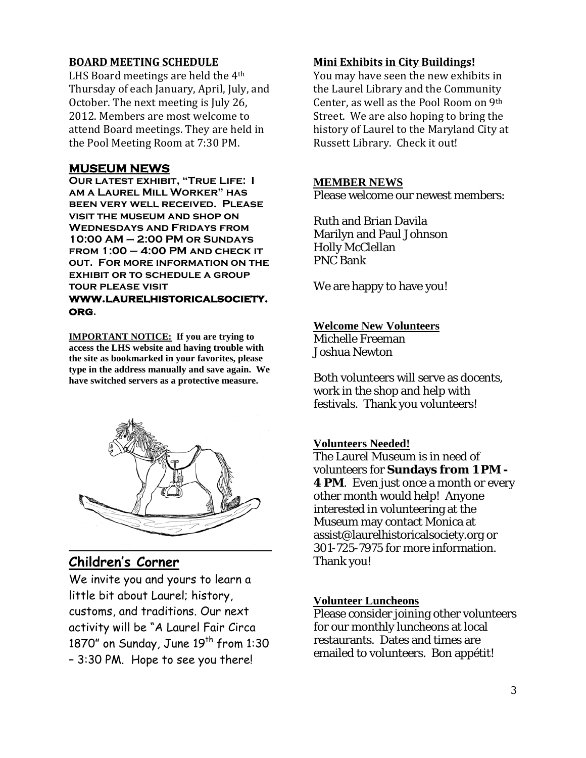### **BOARD MEETING SCHEDULE**

LHS Board meetings are held the 4<sup>th</sup> Thursday of each January, April, July, and October. The next meeting is July 26, 2012. Members are most welcome to attend Board meetings. They are held in the Pool Meeting Room at 7:30 PM.

## **MUSEUM NEWS**

**Our latest exhibit, "True Life: I am a Laurel Mill Worker" has been very well received. Please visit the museum and shop on Wednesdays and Fridays from 10:00 AM – 2:00 PM or Sundays from 1:00 – 4:00 PM and check it out. For more information on the exhibit or to schedule a group tour please visit www.laurelhistoricalsociety. org.**

**IMPORTANT NOTICE: If you are trying to access the LHS website and having trouble with the site as bookmarked in your favorites, please type in the address manually and save again. We have switched servers as a protective measure.** 



## **Children's Corner**

We invite you and yours to learn a little bit about Laurel; history, customs, and traditions. Our next activity will be "A Laurel Fair Circa 1870" on Sunday, June  $19<sup>th</sup>$  from 1:30 – 3:30 PM. Hope to see you there!

#### **Mini Exhibits in City Buildings!**

You may have seen the new exhibits in the Laurel Library and the Community Center, as well as the Pool Room on 9th Street. We are also hoping to bring the history of Laurel to the Maryland City at Russett Library. Check it out!

#### **MEMBER NEWS**

Please welcome our newest members:

Ruth and Brian Davila Marilyn and Paul Johnson Holly McClellan PNC Bank

We are happy to have you!

#### **Welcome New Volunteers**

Michelle Freeman Joshua Newton

Both volunteers will serve as docents, work in the shop and help with festivals. Thank you volunteers!

#### **Volunteers Needed!**

The Laurel Museum is in need of volunteers for **Sundays from 1 PM - 4 PM**. Even just once a month or every other month would help! Anyone interested in volunteering at the Museum may contact Monica at assist@laurelhistoricalsociety.org or 301-725-7975 for more information. Thank you!

#### **Volunteer Luncheons**

Please consider joining other volunteers for our monthly luncheons at local restaurants. Dates and times are emailed to volunteers. Bon appétit!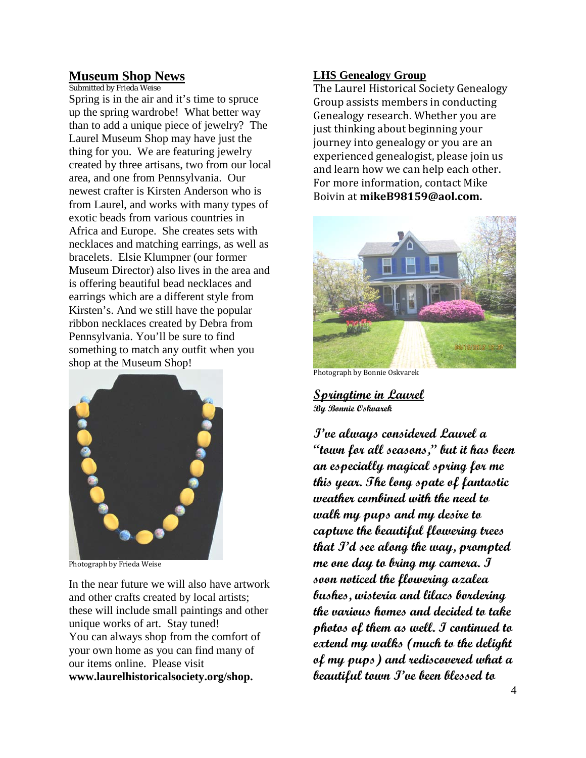## **Museum Shop News**

Submitted by Frieda Weise Spring is in the air and it's time to spruce up the spring wardrobe! What better way than to add a unique piece of jewelry? The Laurel Museum Shop may have just the thing for you. We are featuring jewelry created by three artisans, two from our local area, and one from Pennsylvania. Our newest crafter is Kirsten Anderson who is from Laurel, and works with many types of exotic beads from various countries in Africa and Europe. She creates sets with necklaces and matching earrings, as well as bracelets. Elsie Klumpner (our former Museum Director) also lives in the area and is offering beautiful bead necklaces and earrings which are a different style from Kirsten's. And we still have the popular ribbon necklaces created by Debra from Pennsylvania. You'll be sure to find something to match any outfit when you shop at the Museum Shop!



Photograph by Frieda Weise

In the near future we will also have artwork and other crafts created by local artists; these will include small paintings and other unique works of art. Stay tuned! You can always shop from the comfort of your own home as you can find many of our items online. Please visit **www.laurelhistoricalsociety.org/shop.**

#### **LHS Genealogy Group**

The Laurel Historical Society Genealogy Group assists members in conducting Genealogy research. Whether you are just thinking about beginning your journey into genealogy or you are an experienced genealogist, please join us and learn how we can help each other. For more information, contact Mike Boivin at **mikeB98159@aol.com.**



Photograph by Bonnie Oskvarek

**Springtime in Laurel By Bonnie Oskvarek**

**I've always considered Laurel a "town for all seasons," but it has been an especially magical spring for me this year. The long spate of fantastic weather combined with the need to walk my pups and my desire to capture the beautiful flowering trees that I'd see along the way, prompted me one day to bring my camera. I soon noticed the flowering azalea bushes, wisteria and lilacs bordering the various homes and decided to take photos of them as well. I continued to extend my walks (much to the delight of my pups) and rediscovered what a beautiful town I've been blessed to**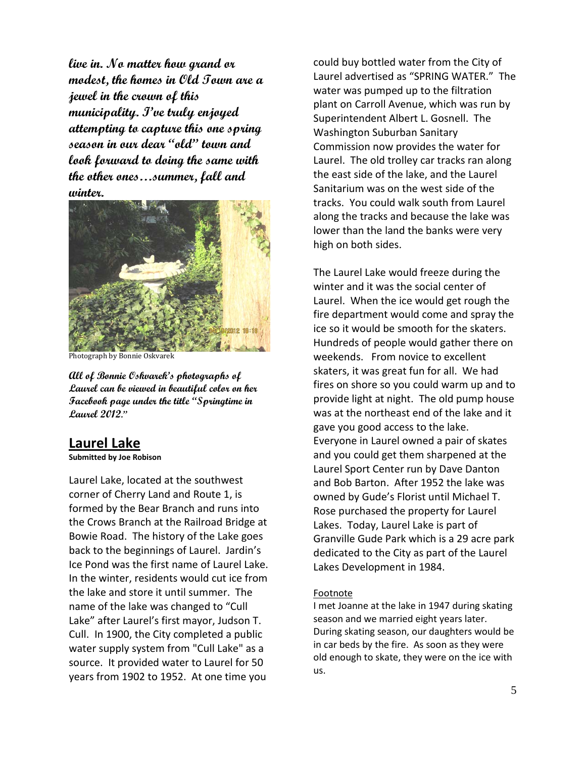**live in. No matter how grand or modest, the homes in Old Town are a jewel in the crown of this municipality. I've truly enjoyed attempting to capture this one spring season in our dear "old" town and look forward to doing the same with the other ones…summer, fall and winter.** 



Photograph by Bonnie Oskvarek

**All of Bonnie Oskvarek's photographs of Laurel can be viewed in beautiful color on her Facebook page under the title "Springtime in Laurel 2012."**

## **Laurel Lake**

#### **Submitted by Joe Robison**

Laurel Lake, located at the southwest corner of Cherry Land and Route 1, is formed by the Bear Branch and runs into the Crows Branch at the Railroad Bridge at Bowie Road. The history of the Lake goes back to the beginnings of Laurel. Jardin's Ice Pond was the first name of Laurel Lake. In the winter, residents would cut ice from the lake and store it until summer. The name of the lake was changed to "Cull Lake" after Laurel's first mayor, Judson T. Cull. In 1900, the City completed a public water supply system from "Cull Lake" as a source. It provided water to Laurel for 50 years from 1902 to 1952. At one time you

could buy bottled water from the City of Laurel advertised as "SPRING WATER." The water was pumped up to the filtration plant on Carroll Avenue, which was run by Superintendent Albert L. Gosnell. The Washington Suburban Sanitary Commission now provides the water for Laurel. The old trolley car tracks ran along the east side of the lake, and the Laurel Sanitarium was on the west side of the tracks. You could walk south from Laurel along the tracks and because the lake was lower than the land the banks were very high on both sides.

The Laurel Lake would freeze during the winter and it was the social center of Laurel. When the ice would get rough the fire department would come and spray the ice so it would be smooth for the skaters. Hundreds of people would gather there on weekends. From novice to excellent skaters, it was great fun for all. We had fires on shore so you could warm up and to provide light at night. The old pump house was at the northeast end of the lake and it gave you good access to the lake. Everyone in Laurel owned a pair of skates and you could get them sharpened at the Laurel Sport Center run by Dave Danton and Bob Barton. After 1952 the lake was owned by Gude's Florist until Michael T. Rose purchased the property for Laurel Lakes. Today, Laurel Lake is part of Granville Gude Park which is a 29 acre park dedicated to the City as part of the Laurel Lakes Development in 1984.

#### Footnote

I met Joanne at the lake in 1947 during skating season and we married eight years later. During skating season, our daughters would be in car beds by the fire. As soon as they were old enough to skate, they were on the ice with us.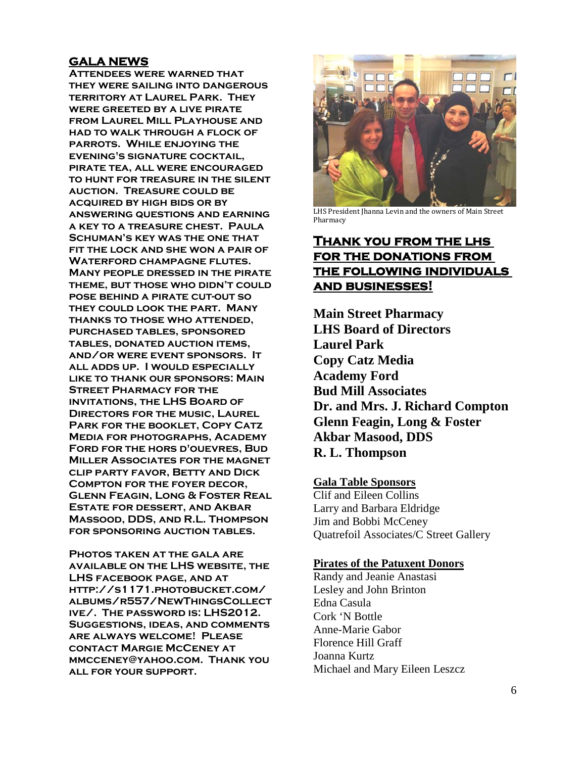## **GALA NEWS**

**Attendees were warned that they were sailing into dangerous territory at Laurel Park. They were greeted by a live pirate from Laurel Mill Playhouse and had to walk through a flock of parrots. While enjoying the evening's signature cocktail, pirate tea, all were encouraged to hunt for treasure in the silent auction. Treasure could be acquired by high bids or by answering questions and earning a key to a treasure chest. Paula Schuman's key was the one that fit the lock and she won a pair of Waterford champagne flutes. Many people dressed in the pirate theme, but those who didn't could pose behind a pirate cut-out so they could look the part. Many thanks to those who attended, purchased tables, sponsored tables, donated auction items, and/or were event sponsors. It all adds up. I would especially like to thank our sponsors: Main Street Pharmacy for the invitations, the LHS Board of Directors for the music, Laurel Park for the booklet, Copy Catz Media for photographs, Academy Ford for the hors d'ouevres, Bud Miller Associates for the magnet clip party favor, Betty and Dick Compton for the foyer decor, Glenn Feagin, Long & Foster Real Estate for dessert, and Akbar Massood, DDS, and R.L. Thompson for sponsoring auction tables.**

**Photos taken at the gala are available on the LHS website, the LHS facebook page, and at http://s1171.photobucket.com/ albums/r557/NewThingsCollect ive/. The password is: LHS2012. Suggestions, ideas, and comments are always welcome! Please contact Margie McCeney at [mmcceney@yahoo.com.](http://us.mc1206.mail.yahoo.com/mc/compose?to=mmcceney@yahoo.com) Thank you all for your support.**



LHS President Jhanna Levin and the owners of Main Street **Pharmacy** 

## **Thank you from the lhs for the donations from the following individuals and businesses!**

**Main Street Pharmacy LHS Board of Directors Laurel Park Copy Catz Media Academy Ford Bud Mill Associates Dr. and Mrs. J. Richard Compton Glenn Feagin, Long & Foster Akbar Masood, DDS R. L. Thompson**

#### **Gala Table Sponsors**

Clif and Eileen Collins Larry and Barbara Eldridge Jim and Bobbi McCeney Quatrefoil Associates/C Street Gallery

#### **Pirates of the Patuxent Donors**

Randy and Jeanie Anastasi Lesley and John Brinton Edna Casula Cork 'N Bottle Anne-Marie Gabor Florence Hill Graff Joanna Kurtz Michael and Mary Eileen Leszcz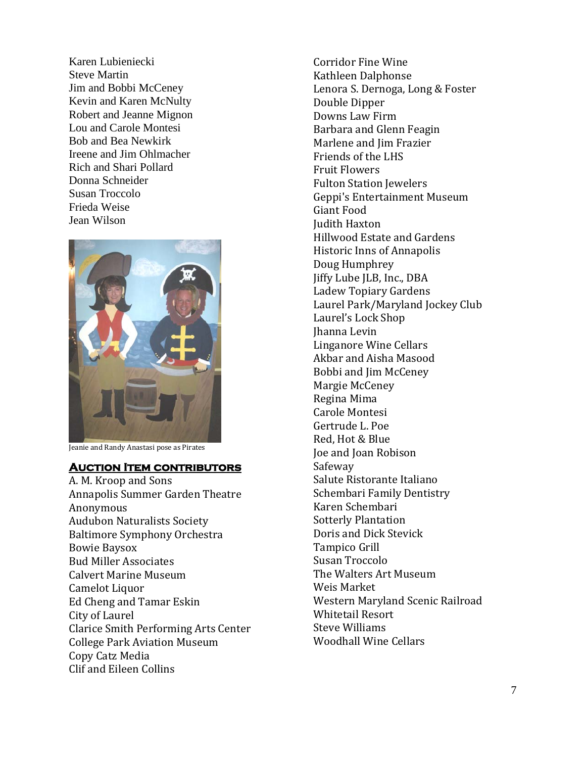Karen Lubieniecki Steve Martin Jim and Bobbi McCeney Kevin and Karen McNulty Robert and Jeanne Mignon Lou and Carole Montesi Bob and Bea Newkirk Ireene and Jim Ohlmacher Rich and Shari Pollard Donna Schneider Susan Troccolo Frieda Weise Jean Wilson



Jeanie and Randy Anastasi pose as Pirates

#### **Auction Item contributors**

A. M. Kroop and Sons Annapolis Summer Garden Theatre Anonymous Audubon Naturalists Society Baltimore Symphony Orchestra Bowie Baysox Bud Miller Associates Calvert Marine Museum Camelot Liquor Ed Cheng and Tamar Eskin City of Laurel Clarice Smith Performing Arts Center College Park Aviation Museum Copy Catz Media Clif and Eileen Collins

Corridor Fine Wine Kathleen Dalphonse Lenora S. Dernoga, Long & Foster Double Dipper Downs Law Firm Barbara and Glenn Feagin Marlene and Jim Frazier Friends of the LHS Fruit Flowers Fulton Station Jewelers Geppi's Entertainment Museum Giant Food Judith Haxton Hillwood Estate and Gardens Historic Inns of Annapolis Doug Humphrey Jiffy Lube JLB, Inc., DBA Ladew Topiary Gardens Laurel Park/Maryland Jockey Club Laurel's Lock Shop Jhanna Levin Linganore Wine Cellars Akbar and Aisha Masood Bobbi and Jim McCeney Margie McCeney Regina Mima Carole Montesi Gertrude L. Poe Red, Hot & Blue Joe and Joan Robison Safeway Salute Ristorante Italiano Schembari Family Dentistry Karen Schembari Sotterly Plantation Doris and Dick Stevick Tampico Grill Susan Troccolo The Walters Art Museum Weis Market Western Maryland Scenic Railroad Whitetail Resort Steve Williams Woodhall Wine Cellars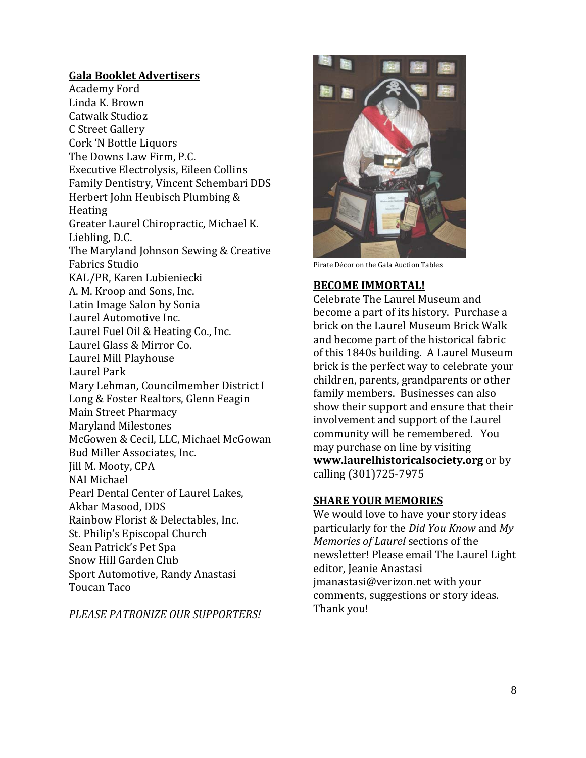## **Gala Booklet Advertisers**

Academy Ford Linda K. Brown Catwalk Studioz C Street Gallery Cork 'N Bottle Liquors The Downs Law Firm, P.C. Executive Electrolysis, Eileen Collins Family Dentistry, Vincent Schembari DDS Herbert John Heubisch Plumbing & Heating Greater Laurel Chiropractic, Michael K. Liebling, D.C. The Maryland Johnson Sewing & Creative Fabrics Studio KAL/PR, Karen Lubieniecki A. M. Kroop and Sons, Inc. Latin Image Salon by Sonia Laurel Automotive Inc. Laurel Fuel Oil & Heating Co., Inc. Laurel Glass & Mirror Co. Laurel Mill Playhouse Laurel Park Mary Lehman, Councilmember District I Long & Foster Realtors, Glenn Feagin Main Street Pharmacy Maryland Milestones McGowen & Cecil, LLC, Michael McGowan Bud Miller Associates, Inc. Jill M. Mooty, CPA NAI Michael Pearl Dental Center of Laurel Lakes, Akbar Masood, DDS Rainbow Florist & Delectables, Inc. St. Philip's Episcopal Church Sean Patrick's Pet Spa Snow Hill Garden Club Sport Automotive, Randy Anastasi Toucan Taco

*PLEASE PATRONIZE OUR SUPPORTERS!*



Pirate Décor on the Gala Auction Tables

#### **BECOME IMMORTAL!**

Celebrate The Laurel Museum and become a part of its history. Purchase a brick on the Laurel Museum Brick Walk and become part of the historical fabric of this 1840s building. A Laurel Museum brick is the perfect way to celebrate your children, parents, grandparents or other family members. Businesses can also show their support and ensure that their involvement and support of the Laurel community will be remembered. You may purchase on line by visiting **www.laurelhistoricalsociety.org** or by calling (301)725-7975

#### **SHARE YOUR MEMORIES**

We would love to have your story ideas particularly for the *Did You Know* and *My Memories of Laurel* sections of the newsletter! Please email The Laurel Light editor, Jeanie Anastasi jmanastasi@verizon.net with your comments, suggestions or story ideas. Thank you!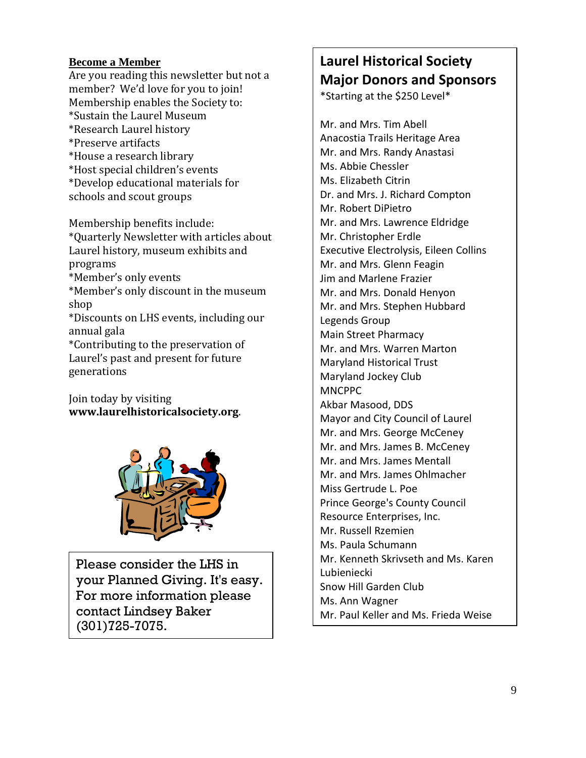## **Become a Member**

Are you reading this newsletter but not a member? We'd love for you to join! Membership enables the Society to: \*Sustain the Laurel Museum \*Research Laurel history \*Preserve artifacts \*House a research library \*Host special children's events \*Develop educational materials for schools and scout groups

Membership benefits include: \*Quarterly Newsletter with articles about Laurel history, museum exhibits and programs \*Member's only events \*Member's only discount in the museum shop \*Discounts on LHS events, including our annual gala \*Contributing to the preservation of Laurel's past and present for future generations

Join today by visiting **www.laurelhistoricalsociety.org**.



Please consider the LHS in your Planned Giving. It's easy. For more information please contact Lindsey Baker (301)725-7075.

# **Laurel Historical Society Major Donors and Sponsors**

\*Starting at the \$250 Level\*

Mr. and Mrs. Tim Abell Anacostia Trails Heritage Area Mr. and Mrs. Randy Anastasi Ms. Abbie Chessler Ms. Elizabeth Citrin Dr. and Mrs. J. Richard Compton Mr. Robert DiPietro Mr. and Mrs. Lawrence Eldridge Mr. Christopher Erdle Executive Electrolysis, Eileen Collins Mr. and Mrs. Glenn Feagin Jim and Marlene Frazier Mr. and Mrs. Donald Henyon Mr. and Mrs. Stephen Hubbard Legends Group Main Street Pharmacy Mr. and Mrs. Warren Marton Maryland Historical Trust Maryland Jockey Club **MNCPPC** Akbar Masood, DDS Mayor and City Council of Laurel Mr. and Mrs. George McCeney Mr. and Mrs. James B. McCeney Mr. and Mrs. James Mentall Mr. and Mrs. James Ohlmacher Miss Gertrude L. Poe Prince George's County Council Resource Enterprises, Inc. Mr. Russell Rzemien Ms. Paula Schumann Mr. Kenneth Skrivseth and Ms. Karen Lubieniecki Snow Hill Garden Club Ms. Ann Wagner Mr. Paul Keller and Ms. Frieda Weise